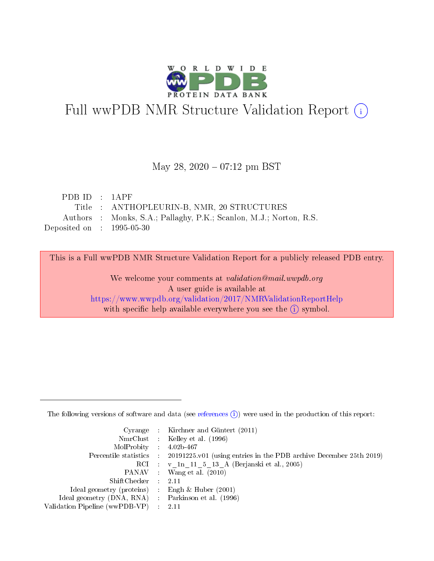

# Full wwPDB NMR Structure Validation Report (i)

#### May 28,  $2020 - 07:12$  pm BST

| PDBID : 1APP                |                                                                    |
|-----------------------------|--------------------------------------------------------------------|
|                             | Title : ANTHOPLEURIN-B, NMR, 20 STRUCTURES                         |
|                             | Authors : Monks, S.A.; Pallaghy, P.K.; Scanlon, M.J.; Norton, R.S. |
| Deposited on : $1995-05-30$ |                                                                    |

This is a Full wwPDB NMR Structure Validation Report for a publicly released PDB entry.

We welcome your comments at *validation@mail.wwpdb.org* A user guide is available at <https://www.wwpdb.org/validation/2017/NMRValidationReportHelp> with specific help available everywhere you see the  $(i)$  symbol.

The following versions of software and data (see [references](https://www.wwpdb.org/validation/2017/NMRValidationReportHelp#references)  $(1)$ ) were used in the production of this report:

|                                                     | Cyrange : Kirchner and Güntert $(2011)$                                                    |
|-----------------------------------------------------|--------------------------------------------------------------------------------------------|
|                                                     | NmrClust : Kelley et al. (1996)                                                            |
| $MolProbability$ 4.02b-467                          |                                                                                            |
|                                                     | Percentile statistics : 20191225.v01 (using entries in the PDB archive December 25th 2019) |
|                                                     | RCI : v 1n 11 5 13 A (Berjanski et al., 2005)                                              |
|                                                     | PANAV Wang et al. (2010)                                                                   |
| $ShiftChecker$ 2.11                                 |                                                                                            |
| Ideal geometry (proteins) : Engh $\&$ Huber (2001)  |                                                                                            |
| Ideal geometry (DNA, RNA) : Parkinson et al. (1996) |                                                                                            |
| Validation Pipeline (wwPDB-VP)                      | $\sim 2.11$                                                                                |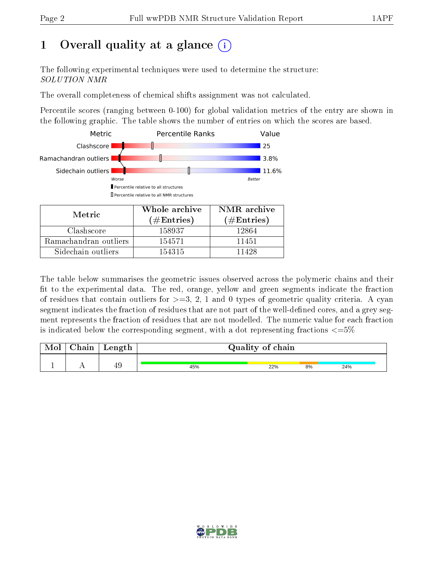## 1 [O](https://www.wwpdb.org/validation/2017/NMRValidationReportHelp#overall_quality)verall quality at a glance  $(i)$

The following experimental techniques were used to determine the structure: SOLUTION NMR

The overall completeness of chemical shifts assignment was not calculated.

Percentile scores (ranging between 0-100) for global validation metrics of the entry are shown in the following graphic. The table shows the number of entries on which the scores are based.



| Metric                | (# $\rm{Entries}$ ) | $(\#Entries)$ |
|-----------------------|---------------------|---------------|
| Clashscore            | 158937              | 12864         |
| Ramachandran outliers | 154571              | 11451         |
| Sidechain outliers    | 154315              | 11428         |

The table below summarises the geometric issues observed across the polymeric chains and their fit to the experimental data. The red, orange, yellow and green segments indicate the fraction of residues that contain outliers for  $>=3, 2, 1$  and 0 types of geometric quality criteria. A cyan segment indicates the fraction of residues that are not part of the well-defined cores, and a grey segment represents the fraction of residues that are not modelled. The numeric value for each fraction is indicated below the corresponding segment, with a dot representing fractions  $\epsilon = 5\%$ 

| Mol | Chain | Length |     | Quality of chain |    |     |  |  |
|-----|-------|--------|-----|------------------|----|-----|--|--|
|     |       | 49     | 45% | 22%              | 8% | 24% |  |  |

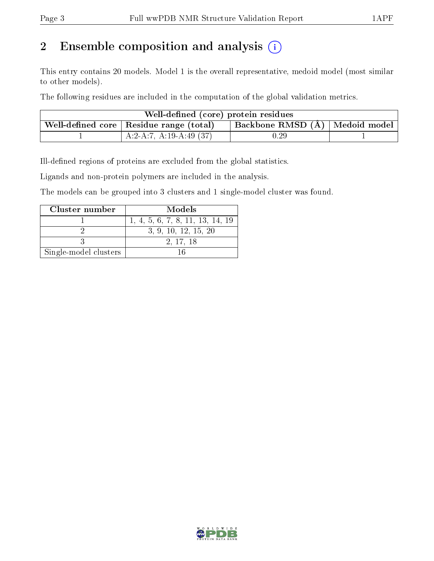## 2 Ensemble composition and analysis  $(i)$

This entry contains 20 models. Model 1 is the overall representative, medoid model (most similar to other models).

The following residues are included in the computation of the global validation metrics.

| Well-defined (core) protein residues                                            |                          |          |  |  |  |  |
|---------------------------------------------------------------------------------|--------------------------|----------|--|--|--|--|
| Backbone RMSD (Å)   Medoid model  <br>Well-defined core   Residue range (total) |                          |          |  |  |  |  |
|                                                                                 | $A:2-A:7, A:19-A:49(37)$ | $0.29\,$ |  |  |  |  |

Ill-defined regions of proteins are excluded from the global statistics.

Ligands and non-protein polymers are included in the analysis.

The models can be grouped into 3 clusters and 1 single-model cluster was found.

| Cluster number        | Models                           |
|-----------------------|----------------------------------|
|                       | 1, 4, 5, 6, 7, 8, 11, 13, 14, 19 |
|                       | 3, 9, 10, 12, 15, 20             |
|                       | 2, 17, 18                        |
| Single-model clusters |                                  |

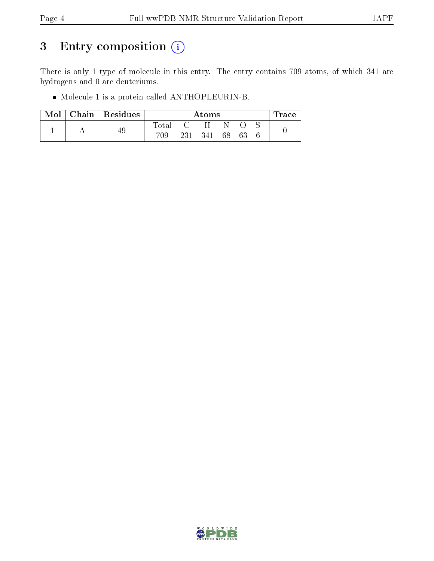## 3 Entry composition (i)

There is only 1 type of molecule in this entry. The entry contains 709 atoms, of which 341 are hydrogens and 0 are deuteriums.

Molecule 1 is a protein called ANTHOPLEURIN-B.

| $\bf{Mol}$ | $\vert$ Chain $\vert$ Residues |             | Atoms |     |    |     |  | race |
|------------|--------------------------------|-------------|-------|-----|----|-----|--|------|
|            |                                | $\rm Total$ |       | H   | N  |     |  |      |
|            | 49                             | 709         | 231   | 341 | 68 | -63 |  |      |

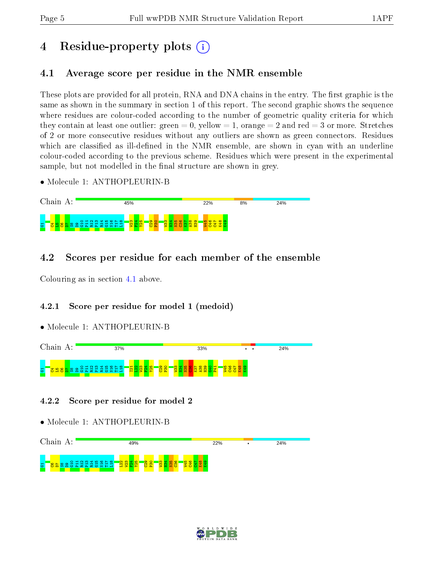## 4 Residue-property plots  $\binom{1}{1}$

## <span id="page-4-0"></span>4.1 Average score per residue in the NMR ensemble

These plots are provided for all protein, RNA and DNA chains in the entry. The first graphic is the same as shown in the summary in section 1 of this report. The second graphic shows the sequence where residues are colour-coded according to the number of geometric quality criteria for which they contain at least one outlier: green  $= 0$ , yellow  $= 1$ , orange  $= 2$  and red  $= 3$  or more. Stretches of 2 or more consecutive residues without any outliers are shown as green connectors. Residues which are classified as ill-defined in the NMR ensemble, are shown in cyan with an underline colour-coded according to the previous scheme. Residues which were present in the experimental sample, but not modelled in the final structure are shown in grey.

• Molecule 1: ANTHOPLEURIN-B



## 4.2 Scores per residue for each member of the ensemble

Colouring as in section [4.1](#page-4-0) above.

### 4.2.1 Score per residue for model 1 (medoid)

• Molecule 1: ANTHOPLEURIN-B



4.2.2 Score per residue for model 2



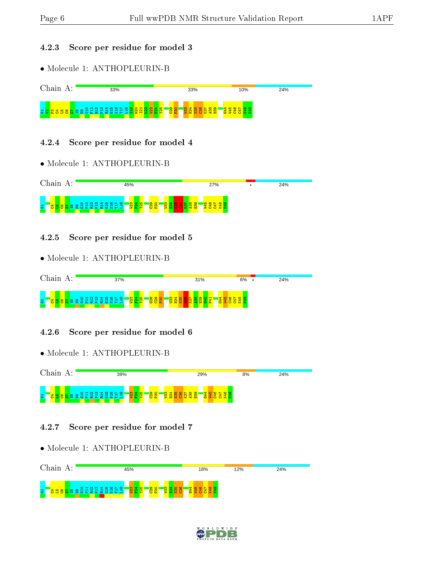#### 4.2.3 Score per residue for model 3

• Molecule 1: ANTHOPLEURIN-B



#### 4.2.4 Score per residue for model 4

• Molecule 1: ANTHOPLEURIN-B



#### 4.2.5 Score per residue for model 5

• Molecule 1: ANTHOPLEURIN-B



#### 4.2.6 Score per residue for model 6

• Molecule 1: ANTHOPLEURIN-B



#### 4.2.7 Score per residue for model 7



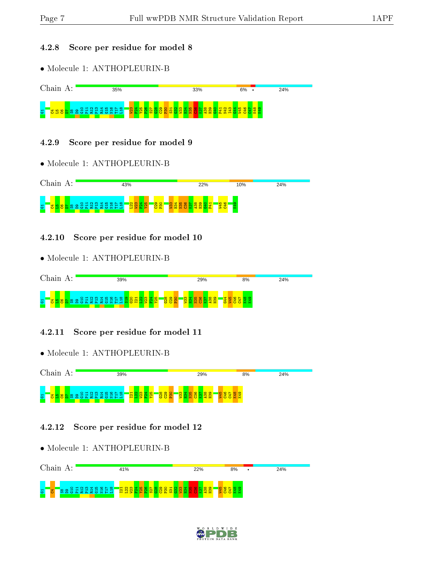#### 4.2.8 Score per residue for model 8

• Molecule 1: ANTHOPLEURIN-B



#### 4.2.9 Score per residue for model 9

• Molecule 1: ANTHOPLEURIN-B



#### 4.2.10 Score per residue for model 10

• Molecule 1: ANTHOPLEURIN-B



#### 4.2.11 Score per residue for model 11

• Molecule 1: ANTHOPLEURIN-B



#### 4.2.12 Score per residue for model 12



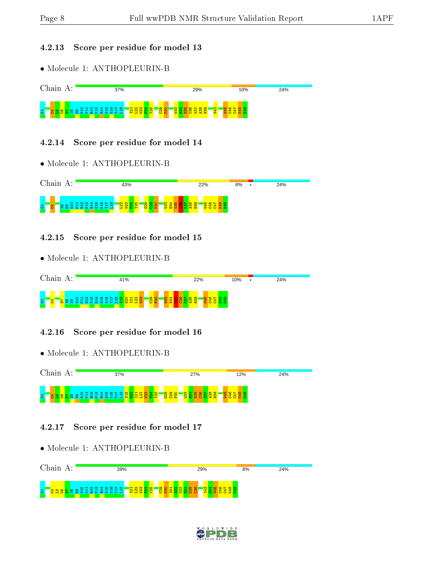#### 4.2.13 Score per residue for model 13

• Molecule 1: ANTHOPLEURIN-B



#### 4.2.14 Score per residue for model 14

• Molecule 1: ANTHOPLEURIN-B



#### 4.2.15 Score per residue for model 15

• Molecule 1: ANTHOPLEURIN-B



#### 4.2.16 Score per residue for model 16

• Molecule 1: ANTHOPLEURIN-B



#### 4.2.17 Score per residue for model 17



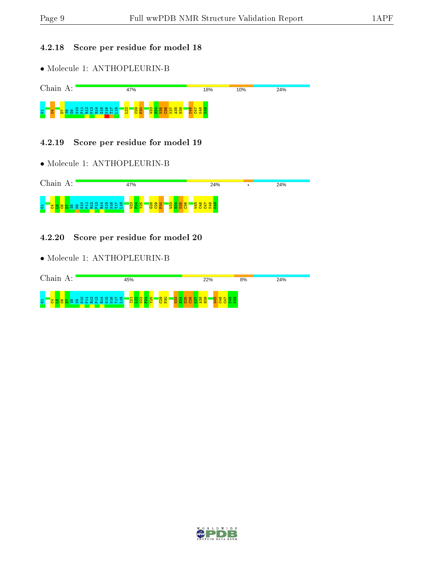#### 4.2.18 Score per residue for model 18

• Molecule 1: ANTHOPLEURIN-B



#### 4.2.19 Score per residue for model 19

• Molecule 1: ANTHOPLEURIN-B



4.2.20 Score per residue for model 20

| Chain<br>А:                                                                                                                   | 45%                                                                                 | 22%                                           | 24%<br>8% |
|-------------------------------------------------------------------------------------------------------------------------------|-------------------------------------------------------------------------------------|-----------------------------------------------|-----------|
| $\begin{array}{c} 4 & \text{if } \infty & \text{if } \infty \\ 0 & \text{if } \infty \end{array}$<br>ന<br>O H N<br>23223<br>Б | <b>2000</b><br>$\overline{\bullet}$<br>$\blacksquare$<br>n.<br>8<br>$\infty$<br>- 1 | 4 ro<br><b>∞</b><br><b>IQ</b><br>െ<br>$\circ$ |           |

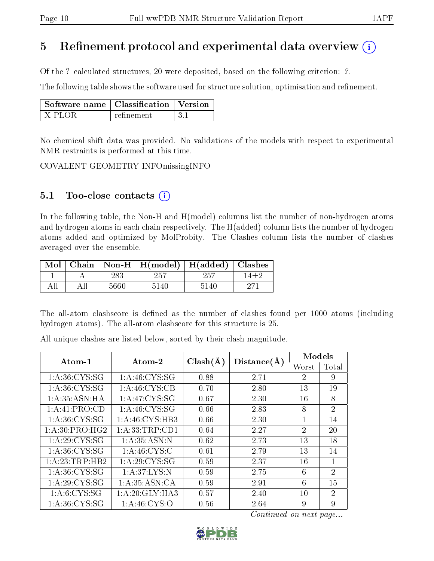## 5 Refinement protocol and experimental data overview  $\binom{1}{k}$

Of the ? calculated structures, 20 were deposited, based on the following criterion: ?.

The following table shows the software used for structure solution, optimisation and refinement.

| $\mid$ Software name $\mid$ Classification $\mid$ Version |            |      |
|-----------------------------------------------------------|------------|------|
| X-PLOR                                                    | refinement | -3.1 |

No chemical shift data was provided. No validations of the models with respect to experimental NMR restraints is performed at this time.

COVALENT-GEOMETRY INFOmissingINFO

### 5.1 Too-close contacts  $(i)$

In the following table, the Non-H and H(model) columns list the number of non-hydrogen atoms and hydrogen atoms in each chain respectively. The H(added) column lists the number of hydrogen atoms added and optimized by MolProbity. The Clashes column lists the number of clashes averaged over the ensemble.

|  |      | Mol   Chain   Non-H   H(model)   H(added)   Clashes |      |  |
|--|------|-----------------------------------------------------|------|--|
|  | 283  | 257                                                 |      |  |
|  | 5660 | 5140                                                | 5140 |  |

The all-atom clashscore is defined as the number of clashes found per 1000 atoms (including hydrogen atoms). The all-atom clashscore for this structure is 25.

All unique clashes are listed below, sorted by their clash magnitude.

| Atom-1            | $\boldsymbol{\mathrm{Atom}\text{-}2}$ | $Clash(\AA)$ | Distance(A) | Models         |                             |  |
|-------------------|---------------------------------------|--------------|-------------|----------------|-----------------------------|--|
|                   |                                       |              |             | Worst          | Total                       |  |
| 1: A:36: CYS:SG   | 1: A:46: CYS:SG                       | 0.88         | 2.71        | 2              | 9                           |  |
| 1: A:36: CYS:SG   | 1: A:46: CYS:CB                       | 0.70         | 2.80        | 13             | 19                          |  |
| 1: A: 35: ASN: HA | 1: A:47: CYS:SG                       | 0.67         | 2.30        | 16             | 8                           |  |
| 1:A:41:PRO:CD     | 1: A:46: CYS:SG                       | 0.66         | 2.83        | 8              | 2                           |  |
| 1: A:36: CYS:SG   | 1:A:46:CYS:HB3                        | 0.66         | 2.30        |                | 14                          |  |
| 1:A:30:PRO:HG2    | 1:A:33:TRP:CD1                        | 0.64         | 2.27        | $\overline{2}$ | 20                          |  |
| 1:A:29:CYS:SG     | 1: A:35: ASN:N                        | 0.62         | 2.73        | 13             | 18                          |  |
| 1: A:36: CYS:SG   | 1: A:46: CYS:C                        | 0.61         | 2.79        | 13             | 14                          |  |
| 1: A:23:TRP:HB2   | 1: A:29: CYS:SG                       | 0.59         | 2.37        | 16             |                             |  |
| 1: A:36: CYS:SG   | 1: A:37: LYS:N                        | 0.59         | 2.75        | 6              | $\overline{2}$              |  |
| 1:A:29:CYS:SG     | 1: A: 35: ASN: CA                     | 0.59         | 2.91        | 6              | 15                          |  |
| 1: A:6:CYS:SG     | 1: A:20: GLY:HA3                      | 0.57         | 2.40        | 10             | $\mathcal{D}_{\mathcal{L}}$ |  |
| 1: A:36: CYS:SG   | 1: A:46: CYS:O                        | 0.56         | 2.64        | 9              | 9                           |  |

Continued on next page...

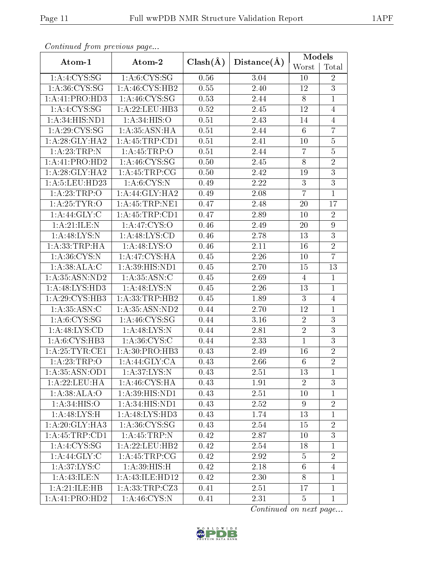| s o heenaca jirone proceso as pago |                    |              |                   | Models          |                 |  |
|------------------------------------|--------------------|--------------|-------------------|-----------------|-----------------|--|
| Atom-1                             | Atom-2             | $Clash(\AA)$ | Distance(A)       | Worst           | Total           |  |
| 1: A: 4: CYS: SG                   | 1: A:6:CYS:SG      | 0.56         | 3.04              | 10              | $\overline{2}$  |  |
| 1: A:36: CYS:SG                    | 1: A:46: CYS:HB2   | 0.55         | 2.40              | 12              | $\overline{3}$  |  |
| $1:A:41:P\overline{RO:HD3}$        | 1: A:46: CYS:SG    | 0.53         | 2.44              | 8               | $\mathbf{1}$    |  |
| 1: A:4:CYS:SG                      | 1: A:22:LEU:HB3    | 0.52         | 2.45              | 12              | $\overline{4}$  |  |
| 1:A:34:HIS:ND1                     | 1: A:34: HIS:O     | 0.51         | 2.43              | 14              | 4               |  |
| 1: A:29:CYS:SG                     | 1:A:35:ASN:HA      | 0.51         | 2.44              | 6               | $\overline{7}$  |  |
| 1:A:28:GLY:HA2                     | 1: A: 45: TRP: CD1 | 0.51         | 2.41              | 10              | $\overline{5}$  |  |
| 1: A:23:TRP:N                      | $1:$ A:45:TRP:O    | 0.51         | 2.44              | $\overline{7}$  | $\bf 5$         |  |
| 1:A:41:PRO:HD2                     | 1: A:46: CYS:SG    | 0.50         | 2.45              | 8               | $\overline{2}$  |  |
| 1: A:28: GLY:HA2                   | 1: A:45:TRP:CG     | 0.50         | 2.42              | 19              | 3               |  |
| $1:$ A:5:LEU:HD23                  | 1: A:6:CYS:N       | 0.49         | 2.22              | 3               | $\overline{3}$  |  |
| 1:A:23:TRP:O                       | 1: A:44: GLY:HA2   | 0.49         | 2.08              | $\overline{7}$  | $\mathbf{1}$    |  |
| 1:A:25:TYR:O                       | 1: A: 45: TRP: NE1 | 0.47         | 2.48              | 20              | 17              |  |
| 1: A:44: GLY: C                    | 1: A: 45: TRP: CD1 | 0.47         | 2.89              | 10              | $\overline{2}$  |  |
| 1: A:21: ILE:N                     | 1: A:47: CYS:O     | 0.46         | 2.49              | 20              | $9\phantom{.0}$ |  |
| 1: A:48: LYS:N                     | 1:A:48:LYS:CD      | 0.46         | 2.78              | 13              | $\overline{3}$  |  |
| 1:A:33:TRP:HA                      | 1: A:48: LYS:O     | 0.46         | 2.11              | 16              | $\overline{2}$  |  |
| 1: A:36: CYS:N                     | 1: A:47: CYS:HA    | 0.45         | 2.26              | 10              | $\overline{7}$  |  |
| 1:A:38:ALA:C                       | 1:A:39:HIS:ND1     | 0.45         | 2.70              | 15              | 13              |  |
| 1:A:35:ASN:ND2                     | 1:A:35:ASN:C       | 0.45         | 2.69              | $\overline{4}$  | $\mathbf{1}$    |  |
| 1:A:48:LYS:HD3                     | 1: A:48: LYS:N     | 0.45         | $\overline{2.26}$ | 13              | $\mathbf{1}$    |  |
| 1: A:29: CYS:HB3                   | 1:A:33:TRP:HB2     | 0.45         | 1.89              | 3               | $\overline{4}$  |  |
| 1: A:35: ASN: C                    | 1:A:35:ASN:ND2     | 0.44         | 2.70              | 12              | $\mathbf{1}$    |  |
| 1: A:6:CYS:SG                      | 1: A:46: CYS:SG    | 0.44         | 3.16              | $\overline{2}$  | $\mathfrak{Z}$  |  |
| 1: A:48: LYS:CD                    | 1: A:48: LYS:N     | 0.44         | 2.81              | $\overline{2}$  | $\mathfrak{Z}$  |  |
| 1: A:6: CYS:HB3                    | 1: A:36: CYS:C     | 0.44         | 2.33              | $\mathbf{1}$    | $\overline{3}$  |  |
| 1: A:25:TYR:CE1                    | 1:A:30:PRO:HB3     | 0.43         | 2.49              | 16              | $\overline{2}$  |  |
| 1:A:23:TRP:O                       | 1:A:44:GLY:CA      | 0.43         | 2.66              | $6\phantom{.}6$ | $\overline{2}$  |  |
| 1:A:35:ASN:OD1                     | 1: A:37: LYS: N    | 0.43         | 2.51              | 13              | $\mathbf 1$     |  |
| 1:A:22:LEU:HA                      | 1: A:46: CYS: HA   | 0.43         | 1.91              | $\overline{2}$  | 3               |  |
| 1:A:38:ALA:O                       | 1: A:39: HIS: ND1  | 0.43         | 2.51              | 10              | $\mathbf{1}$    |  |
| 1: A:34: HIS:O                     | 1: A:34: HIS: ND1  | 0.43         | 2.52              | 9               | $\overline{2}$  |  |
| 1:A:48:LYS:H                       | 1:A:48:LYS:HD3     | 0.43         | 1.74              | 13              | 1               |  |
| 1:A:20:GLY:HA3                     | 1: A:36: CYS:SG    | 0.43         | 2.54              | 15              | $\overline{2}$  |  |
| 1: A: 45: TRP: CD1                 | 1: A:45:TRP:N      | 0.42         | 2.87              | 10              | 3               |  |
| 1: A: 4: CYS: SG                   | 1: A:22:LEU:HB2    | 0.42         | 2.54              | 18              | 1               |  |
| 1: A:44: GLY: C                    | 1:A:45:TRP:CG      | 0.42         | 2.92              | $\overline{5}$  | $\overline{2}$  |  |
| 1: A:37: LYS:C                     | 1: A:39:HIS:H      | 0.42         | 2.18              | $6\phantom{.}6$ | $\overline{4}$  |  |
| 1:A:43:ILE:N                       | 1:A:43:ILE:HD12    | 0.42         | 2.30              | $8\,$           | $\mathbf{1}$    |  |
| 1:A:21:ILE:HB                      | 1:A:33:TRP:CZ3     | 0.41         | 2.51              | 17              | $\mathbf{1}$    |  |
| 1:A:41:PRO:HD2                     | 1: A:46: CYS:N     | 0.41         | 2.31              | $\overline{5}$  | $\mathbf{1}$    |  |

Continued from previous page...

Continued on next page...

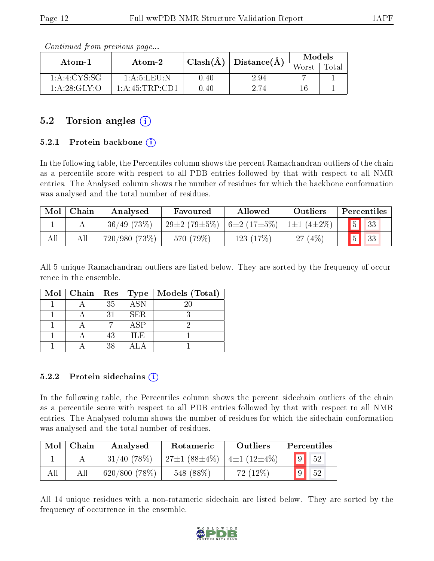| Atom-1           | Atom-2          | $Clash(\AA)$ |                          | Models |       |
|------------------|-----------------|--------------|--------------------------|--------|-------|
|                  |                 |              | $_+$ $\rm Distance(\AA)$ | Worst  | Total |
| 1: A: 4: CYS: SG | 1: A: 5: LEU: N | $0.40\,$     | 2.94                     |        |       |
| 1:A:28:GLY:O     | 1:A:45:TRP:CD1  | $0.40\,$     | 2.74                     | 16     |       |

Continued from previous page...

### 5.2 Torsion angles (i)

#### 5.2.1 Protein backbone  $(i)$

In the following table, the Percentiles column shows the percent Ramachandran outliers of the chain as a percentile score with respect to all PDB entries followed by that with respect to all NMR entries. The Analysed column shows the number of residues for which the backbone conformation was analysed and the total number of residues.

| Mol | Chain | Analysed       | Favoured                                  | Allowed   | Outliers  | Percentiles              |  |
|-----|-------|----------------|-------------------------------------------|-----------|-----------|--------------------------|--|
|     |       | $36/49$ (73\%) | $29\pm2(79\pm5\%)$ 6±2 (17±5%) 1±1 (4±2%) |           |           | $\vert 5 \vert \vert 33$ |  |
| All |       | 720/980 (73%)  | 570 (79%)                                 | 123 (17%) | $27(4\%)$ | 33                       |  |

All 5 unique Ramachandran outliers are listed below. They are sorted by the frequency of occurrence in the ensemble.

| $Mol$   Chain |    | $\mid$ $\text{Res}\mid\text{Type}\mid$ | Models (Total) |
|---------------|----|----------------------------------------|----------------|
|               | 35 | $\overline{\text{ASN}}$                | 20             |
|               | 31 | <b>SER</b>                             |                |
|               |    | $\rm{ASP}$                             |                |
|               | 43 | <b>ILE</b>                             |                |
|               | 38 |                                        |                |

#### 5.2.2 Protein sidechains  $(i)$

In the following table, the Percentiles column shows the percent sidechain outliers of the chain as a percentile score with respect to all PDB entries followed by that with respect to all NMR entries. The Analysed column shows the number of residues for which the sidechain conformation was analysed and the total number of residues.

| Mol | Chain | Analysed      | Rotameric                         | Outliers                     | Percentiles          |
|-----|-------|---------------|-----------------------------------|------------------------------|----------------------|
|     |       | $31/40$ (78%) | $'$ 27 $\pm$ 1 (88 $\pm$ 4 $\%$ ) | $\pm 4\pm 1$ (12 $\pm 4\%$ ) | 9 <sup>1</sup><br>52 |
|     |       | 620/800(78%)  | 548 (88%)                         | $72(12\%)$                   | 52<br>9              |

All 14 unique residues with a non-rotameric sidechain are listed below. They are sorted by the frequency of occurrence in the ensemble.

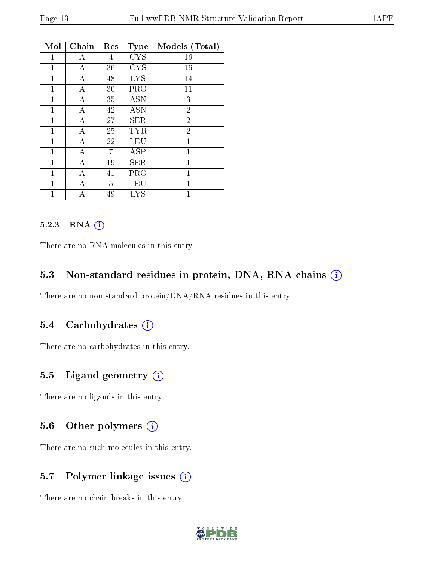| Mol            | Chain | Res            | <b>Type</b> | Models (Total) |
|----------------|-------|----------------|-------------|----------------|
| 1              | А     | 4              | <b>CYS</b>  | 16             |
| 1              | А     | 36             | <b>CYS</b>  | 16             |
| 1              | А     | 48             | <b>LYS</b>  | 14             |
| $\mathbf{1}$   | А     | 30             | PRO         | 11             |
| 1              | А     | 35             | <b>ASN</b>  | 3              |
| $\mathbf{1}$   | А     | 42             | <b>ASN</b>  | $\overline{2}$ |
| 1              | А     | 27             | <b>SER</b>  | $\overline{2}$ |
| $\mathbf{1}$   | А     | 25             | <b>TYR</b>  | $\overline{2}$ |
| 1              | А     | 22             | LEU         | $\mathbf 1$    |
| $\mathbf{1}$   | А     | $\overline{7}$ | <b>ASP</b>  | $\mathbf{1}$   |
| 1              | А     | 19             | SER         | 1              |
| $\mathbf{1}$   | А     | 41             | PRO         | $\overline{1}$ |
| $\mathbf 1$    | А     | 5              | LEU         | 1              |
| $\overline{1}$ | А     | 49             | <b>LYS</b>  | $\overline{1}$ |

#### 5.2.3 RNA [O](https://www.wwpdb.org/validation/2017/NMRValidationReportHelp#rna)i

There are no RNA molecules in this entry.

#### 5.3 Non-standard residues in protein, DNA, RNA chains (i)

There are no non-standard protein/DNA/RNA residues in this entry.

#### 5.4 Carbohydrates (i)

There are no carbohydrates in this entry.

#### 5.5 Ligand geometry  $(i)$

There are no ligands in this entry.

### 5.6 [O](https://www.wwpdb.org/validation/2017/NMRValidationReportHelp#nonstandard_residues_and_ligands)ther polymers  $(i)$

There are no such molecules in this entry.

### 5.7 Polymer linkage issues (i)

There are no chain breaks in this entry.